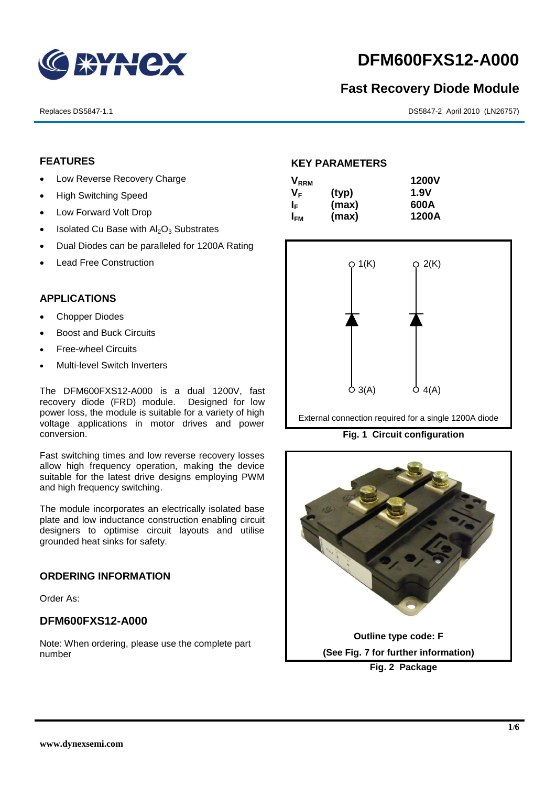

# **DFM600FXS12-A000**

# **Fast Recovery Diode Module**

Replaces DS5847-1.1 DS5847-2 April 2010 (LN26757)

# **FEATURES**

- Low Reverse Recovery Charge
- High Switching Speed
- Low Forward Volt Drop
- $\bullet$  Isolated Cu Base with  $Al_2O_3$  Substrates
- Dual Diodes can be paralleled for 1200A Rating
- Lead Free Construction

## **APPLICATIONS**

- Chopper Diodes
- Boost and Buck Circuits
- Free-wheel Circuits
- Multi-level Switch Inverters

The DFM600FXS12-A000 is a dual 1200V, fast recovery diode (FRD) module. Designed for low power loss, the module is suitable for a variety of high voltage applications in motor drives and power conversion.

Fast switching times and low reverse recovery losses allow high frequency operation, making the device suitable for the latest drive designs employing PWM and high frequency switching.

The module incorporates an electrically isolated base plate and low inductance construction enabling circuit designers to optimise circuit layouts and utilise grounded heat sinks for safety.

#### **ORDERING INFORMATION**

Order As:

## **DFM600FXS12-A000**

Note: When ordering, please use the complete part number

#### **KEY PARAMETERS**

| <b>V</b> <sub>RRM</sub> |       | <b>1200V</b> |
|-------------------------|-------|--------------|
| V <sub>F</sub>          | (typ) | 1.9V         |
| I⊧                      | (max) | 600A         |
| I <sub>FМ</sub>         | (max) | 1200A        |



External connection required for a single 1200A diode

**Fig. 1 Circuit configuration**

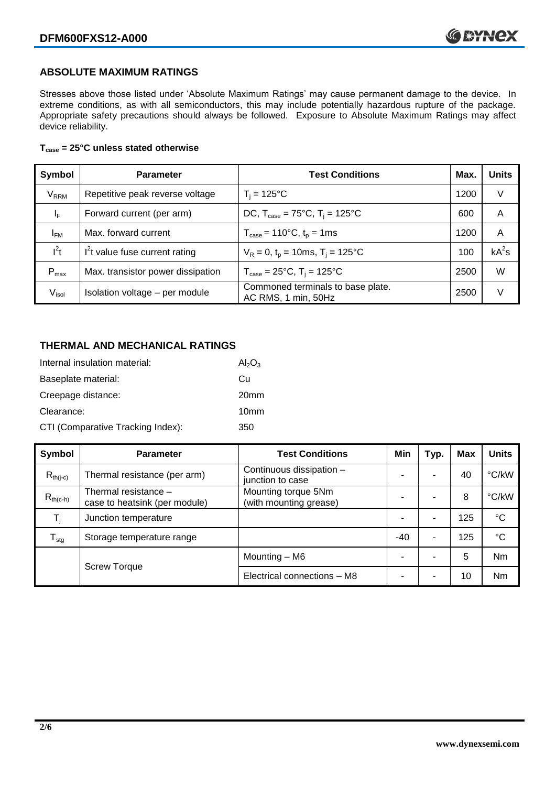# **ABSOLUTE MAXIMUM RATINGS**

Stresses above those listed under 'Absolute Maximum Ratings' may cause permanent damage to the device. In extreme conditions, as with all semiconductors, this may include potentially hazardous rupture of the package. Appropriate safety precautions should always be followed. Exposure to Absolute Maximum Ratings may affect device reliability.

#### **Tcase = 25°C unless stated otherwise**

| Symbol                 | <b>Parameter</b>                  | <b>Test Conditions</b>                                     | Max. | <b>Units</b> |
|------------------------|-----------------------------------|------------------------------------------------------------|------|--------------|
| <b>V<sub>RRM</sub></b> | Repetitive peak reverse voltage   | $T_i = 125$ °C                                             | 1200 | V            |
| ΙF                     | Forward current (per arm)         | DC, $T_{\text{case}} = 75^{\circ}C$ , $T_i = 125^{\circ}C$ | 600  | A            |
| <b>IFM</b>             | Max. forward current              | $T_{\text{case}} = 110^{\circ}C, t_{p} = 1ms$              | 1200 | A            |
| $I^2t$                 | $I2t$ value fuse current rating   | $V_R = 0$ , $t_p = 10$ ms, $T_i = 125$ °C                  | 100  | $kA^2s$      |
| $P_{\text{max}}$       | Max. transistor power dissipation | $T_{\text{case}} = 25^{\circ}C$ , $T_i = 125^{\circ}C$     | 2500 | W            |
| V <sub>isol</sub>      | Isolation voltage - per module    | Commoned terminals to base plate.<br>AC RMS, 1 min, 50Hz   | 2500 | V            |

# **THERMAL AND MECHANICAL RATINGS**

| Internal insulation material:     | $Al_2O_3$        |
|-----------------------------------|------------------|
| Baseplate material:               | Сu               |
| Creepage distance:                | 20 <sub>mm</sub> |
| Clearance:                        | 10 <sub>mm</sub> |
| CTI (Comparative Tracking Index): | 350              |

| Symbol                     | <b>Parameter</b>                                      | <b>Test Conditions</b>                        | Min   | Typ. | <b>Max</b> | <b>Units</b> |
|----------------------------|-------------------------------------------------------|-----------------------------------------------|-------|------|------------|--------------|
| $R_{th(i-c)}$              | Thermal resistance (per arm)                          | Continuous dissipation -<br>junction to case  |       | ۰    | 40         | °C/kW        |
| $R_{th(c-h)}$              | Thermal resistance -<br>case to heatsink (per module) | Mounting torque 5Nm<br>(with mounting grease) |       |      | 8          | °C/kW        |
| $T_i$                      | Junction temperature                                  |                                               |       | ۰    | 125        | $^{\circ}C$  |
| ${\mathsf T}_{\text{stg}}$ | Storage temperature range                             |                                               | $-40$ | -    | 125        | $^{\circ}C$  |
|                            |                                                       | Mounting – M6                                 |       | ۰    | 5          | <b>Nm</b>    |
|                            | <b>Screw Torque</b>                                   | Electrical connections - M8                   |       | -    | 10         | <b>Nm</b>    |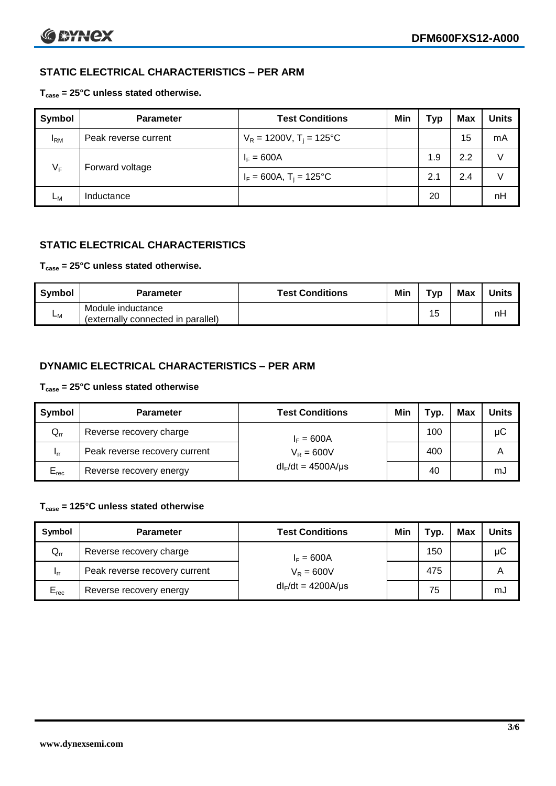# **STATIC ELECTRICAL CHARACTERISTICS – PER ARM**

### **Tcase = 25°C unless stated otherwise.**

| Symbol       | <b>Parameter</b>     | <b>Test Conditions</b>                 | Min | Typ | <b>Max</b> | <b>Units</b> |
|--------------|----------------------|----------------------------------------|-----|-----|------------|--------------|
| $I_{\rm RM}$ | Peak reverse current | $V_R = 1200V$ , T <sub>i</sub> = 125°C |     |     | 15         | mA           |
| $V_F$        | Forward voltage      | $I_F = 600A$                           |     | 1.9 | 2.2        | V            |
|              |                      | $I_F = 600A$ , $T_i = 125^{\circ}C$    |     | 2.1 | 2.4        | V            |
| Lм           | Inductance           |                                        |     | 20  |            | nH           |

# **STATIC ELECTRICAL CHARACTERISTICS**

#### **Tcase = 25°C unless stated otherwise.**

| <b>Symbol</b> | <b>Parameter</b>                                        | <b>Test Conditions</b> | Min | Тур | <b>Max</b> | <b>Units</b> |
|---------------|---------------------------------------------------------|------------------------|-----|-----|------------|--------------|
| <b>L</b> M    | Module inductance<br>(externally connected in parallel) |                        |     | 15  |            | nH           |

# **DYNAMIC ELECTRICAL CHARACTERISTICS – PER ARM**

#### **Tcase = 25°C unless stated otherwise**

| <b>Symbol</b>   | <b>Parameter</b>              | <b>Test Conditions</b>  | Min | Typ. | Max | Units |
|-----------------|-------------------------------|-------------------------|-----|------|-----|-------|
| $Q_{rr}$        | Reverse recovery charge       | $I_F = 600A$            |     | 100  |     | μC    |
| 1 <sub>rr</sub> | Peak reverse recovery current | $V_R = 600V$            |     | 400  |     | Α     |
| $E_{rec}$       | Reverse recovery energy       | $dl_F/dt = 4500A/\mu s$ |     | 40   |     | mJ    |

# **Tcase = 125°C unless stated otherwise**

| Symbol    | <b>Parameter</b>              | <b>Test Conditions</b>  | Min | Typ. | Max | <b>Units</b> |
|-----------|-------------------------------|-------------------------|-----|------|-----|--------------|
| $Q_{rr}$  | Reverse recovery charge       | $I_F = 600A$            |     | 150  |     | μC           |
| - Irr     | Peak reverse recovery current | $V_R = 600V$            |     | 475  |     | Α            |
| $E_{rec}$ | Reverse recovery energy       | $dl_F/dt = 4200A/\mu s$ |     | 75   |     | mJ           |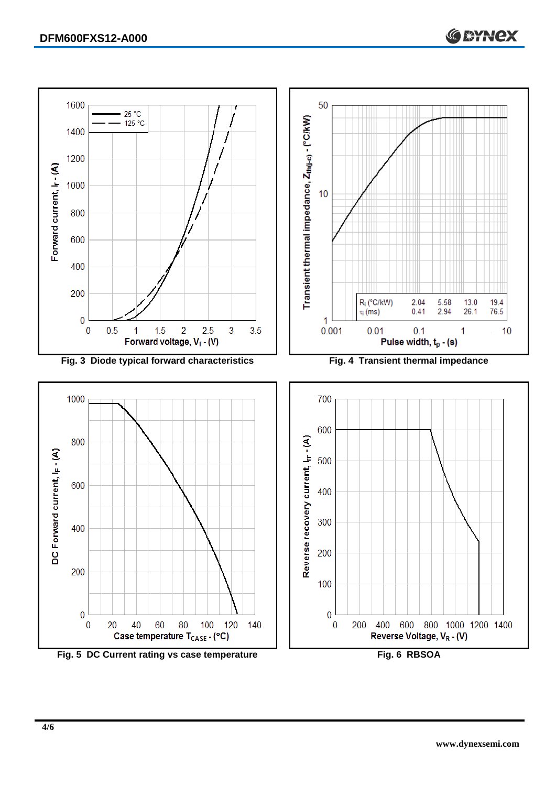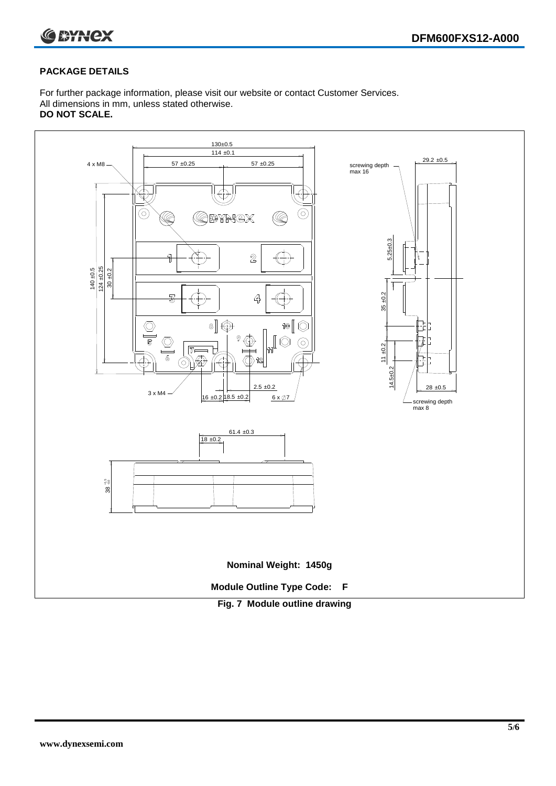



#### **PACKAGE DETAILS**

For further package information, please visit our website or contact Customer Services. All dimensions in mm, unless stated otherwise. **DO NOT SCALE.**